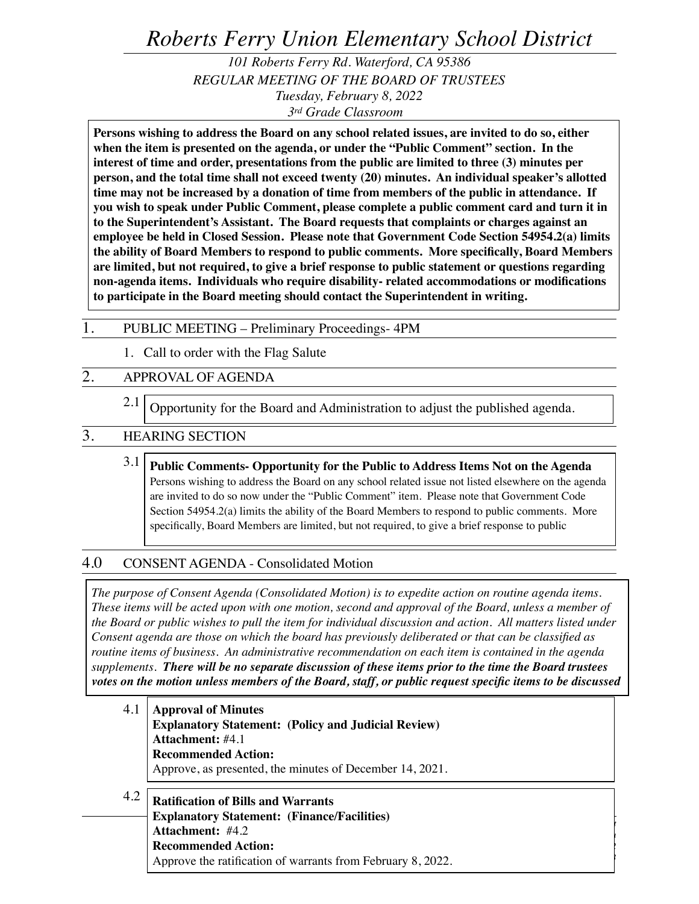# *Roberts Ferry Union Elementary School District*

*101 Roberts Ferry Rd. Waterford, CA 95386 REGULAR MEETING OF THE BOARD OF TRUSTEES Tuesday, February 8, 2022 3rd Grade Classroom* 

**Persons wishing to address the Board on any school related issues, are invited to do so, either when the item is presented on the agenda, or under the "Public Comment" section. In the interest of time and order, presentations from the public are limited to three (3) minutes per person, and the total time shall not exceed twenty (20) minutes. An individual speaker's allotted time may not be increased by a donation of time from members of the public in attendance. If you wish to speak under Public Comment, please complete a public comment card and turn it in to the Superintendent's Assistant. The Board requests that complaints or charges against an employee be held in Closed Session. Please note that Government Code Section 54954.2(a) limits the ability of Board Members to respond to public comments. More specifically, Board Members are limited, but not required, to give a brief response to public statement or questions regarding non-agenda items. Individuals who require disability- related accommodations or modifications to participate in the Board meeting should contact the Superintendent in writing.**

#### 1. PUBLIC MEETING – Preliminary Proceedings- 4PM

1. Call to order with the Flag Salute

# 2. APPROVAL OF AGENDA

2.1 Opportunity for the Board and Administration to adjust the published agenda.

### 3. HEARING SECTION

3.1 **Public Comments- Opportunity for the Public to Address Items Not on the Agenda** Persons wishing to address the Board on any school related issue not listed elsewhere on the agenda are invited to do so now under the "Public Comment" item. Please note that Government Code Section 54954.2(a) limits the ability of the Board Members to respond to public comments. More specifically, Board Members are limited, but not required, to give a brief response to public

# 4.0 CONSENT AGENDA - Consolidated Motion

*The purpose of Consent Agenda (Consolidated Motion) is to expedite action on routine agenda items. These items will be acted upon with one motion, second and approval of the Board, unless a member of the Board or public wishes to pull the item for individual discussion and action. All matters listed under Consent agenda are those on which the board has previously deliberated or that can be classified as routine items of business. An administrative recommendation on each item is contained in the agenda supplements. There will be no separate discussion of these items prior to the time the Board trustees votes on the motion unless members of the Board, staff, or public request specific items to be discussed* 

4.1 4.2 *Roberts Ferry Union Elementary School District Board of Trustees Meeting Agenda February 8, 2022 Page 1 of 3* **Ratification of Bills and Warrants Explanatory Statement: (Finance/Facilities) Attachment:** #4.2 **Recommended Action:** Approve the ratification of warrants from February 8, 2022. **Approval of Minutes Explanatory Statement: (Policy and Judicial Review) Attachment:** #4.1 **Recommended Action:** Approve, as presented, the minutes of December 14, 2021.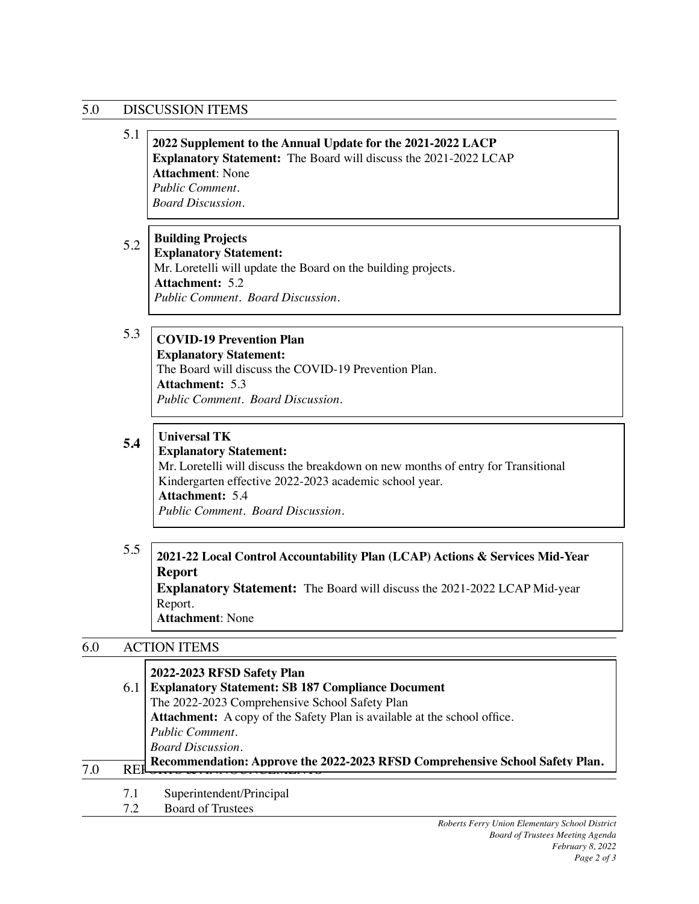# 5.0 DISCUSSION ITEMS

 $6.0$ 

7.1 Superintendent/Principal

7.2 Board of Trustees

*Public Comment. Board Discussion.*

|     | 5.1 | 2022 Supplement to the Annual Update for the 2021-2022 LACP<br>Explanatory Statement: The Board will discuss the 2021-2022 LCAP<br><b>Attachment: None</b><br>Public Comment.<br><b>Board Discussion.</b>                                                                |
|-----|-----|--------------------------------------------------------------------------------------------------------------------------------------------------------------------------------------------------------------------------------------------------------------------------|
|     | 5.2 | <b>Building Projects</b><br><b>Explanatory Statement:</b><br>Mr. Loretelli will update the Board on the building projects.<br><b>Attachment: 5.2</b><br>Public Comment. Board Discussion.                                                                                |
|     | 5.3 | <b>COVID-19 Prevention Plan</b><br><b>Explanatory Statement:</b><br>The Board will discuss the COVID-19 Prevention Plan.<br><b>Attachment: 5.3</b><br>Public Comment. Board Discussion.                                                                                  |
|     | 5.4 | <b>Universal TK</b><br><b>Explanatory Statement:</b><br>Mr. Loretelli will discuss the breakdown on new months of entry for Transitional<br>Kindergarten effective 2022-2023 academic school year.<br><b>Attachment: 5.4</b><br><b>Public Comment. Board Discussion.</b> |
|     | 5.5 | 2021-22 Local Control Accountability Plan (LCAP) Actions & Services Mid-Year<br><b>Report</b><br>Explanatory Statement: The Board will discuss the 2021-2022 LCAP Mid-year<br>Report.<br><b>Attachment: None</b>                                                         |
| 6.0 |     | <b>ACTION ITEMS</b>                                                                                                                                                                                                                                                      |
|     | 6.1 | 2022-2023 RFSD Safety Plan<br><b>Explanatory Statement: SB 187 Compliance Document</b>                                                                                                                                                                                   |

**REPORTS AND RECOMMENDIAL STATES IN THE RECOMMENTATION CONTROL CONTROL SECTION CONTROL SECTION AND REFERENCE SCHOOL SAfety Plan.** 

**Attachment:** A copy of the Safety Plan is available at the school office.

The 2022-2023 Comprehensive School Safety Plan